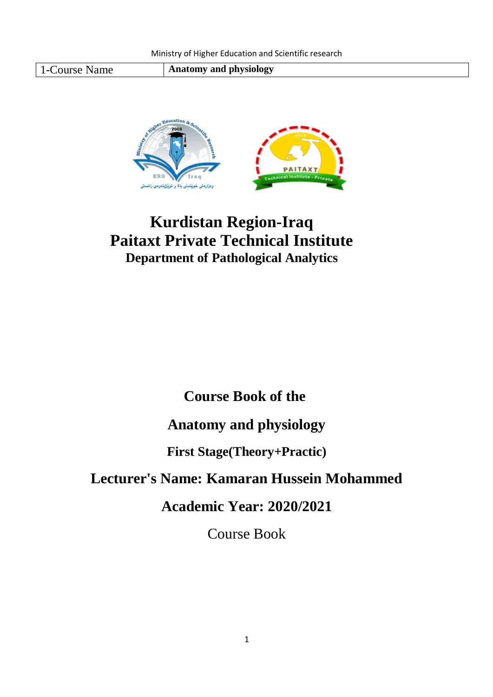1-Course Name **Anatomy and physiology** 



# **Kurdistan Region-Iraq Paitaxt Private Technical Institute Department of Pathological Analytics**

## **Course Book of the**

## **Anatomy and physiology**

### **First Stage(Theory+Practic)**

## **Lecturer's Name: Kamaran Hussein Mohammed**

## **Academic Year: 2020/2021**

Course Book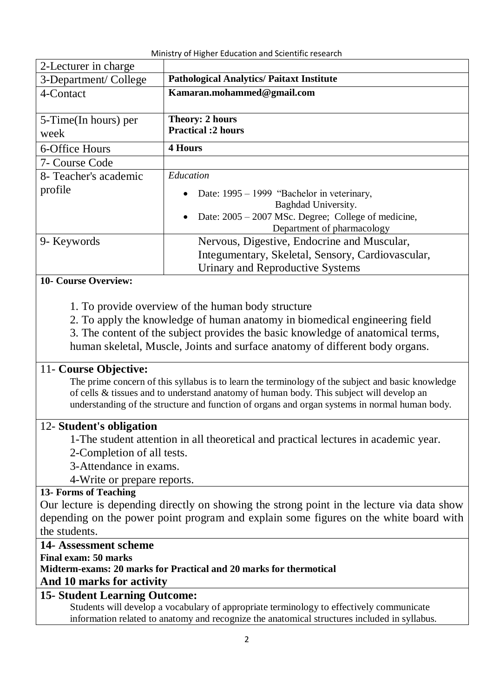| 2-Lecturer in charge  |                                                     |  |
|-----------------------|-----------------------------------------------------|--|
| 3-Department/College  | <b>Pathological Analytics/ Paitaxt Institute</b>    |  |
| 4-Contact             | Kamaran.mohammed@gmail.com                          |  |
|                       |                                                     |  |
| 5-Time(In hours) per  | <b>Theory: 2 hours</b>                              |  |
| week                  | <b>Practical :2 hours</b>                           |  |
| 6-Office Hours        | <b>4 Hours</b>                                      |  |
| 7- Course Code        |                                                     |  |
| 8- Teacher's academic | Education                                           |  |
| profile               | Date: 1995 – 1999 "Bachelor in veterinary,          |  |
|                       | Baghdad University.                                 |  |
|                       | Date: 2005 – 2007 MSc. Degree; College of medicine, |  |
|                       | Department of pharmacology                          |  |
| 9- Keywords           | Nervous, Digestive, Endocrine and Muscular,         |  |
|                       | Integumentary, Skeletal, Sensory, Cardiovascular,   |  |
|                       | Urinary and Reproductive Systems                    |  |

#### **10- Course Overview:**

- 1. To provide overview of the human body structure
- 2. To apply the knowledge of human anatomy in biomedical engineering field
- 3. The content of the subject provides the basic knowledge of anatomical terms,

human skeletal, Muscle, Joints and surface anatomy of different body organs.

#### 11- **Course Objective:**

The prime concern of this syllabus is to learn the terminology of the subject and basic knowledge of cells & tissues and to understand anatomy of human body. This subject will develop an understanding of the structure and function of organs and organ systems in normal human body.

#### 12- **Student's obligation**

1-The student attention in all theoretical and practical lectures in academic year.

- 2-Completion of all tests.
- 3-Attendance in exams.
- 4-Write or prepare reports.

#### **13- Forms of Teaching**

Our lecture is depending directly on showing the strong point in the lecture via data show depending on the power point program and explain some figures on the white board with the students.

#### **14- Assessment scheme**

**Final exam: 50 marks** 

**Midterm-exams: 20 marks for Practical and 20 marks for thermotical**

**And 10 marks for activity**

#### **15- Student Learning Outcome:**

Students will develop a vocabulary of appropriate terminology to effectively communicate information related to anatomy and recognize the anatomical structures included in syllabus.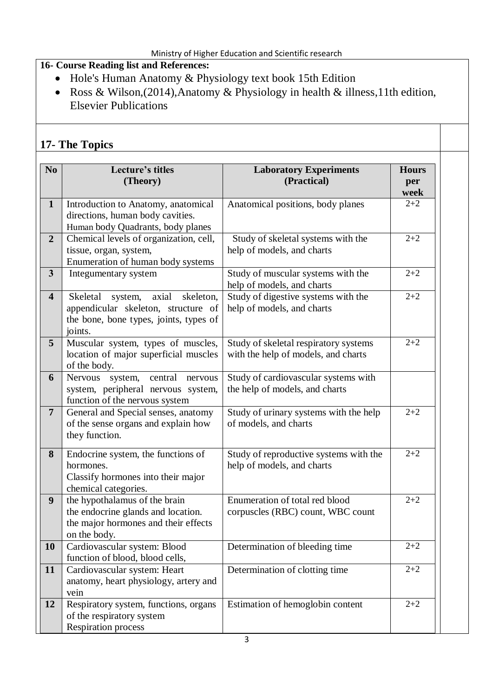#### **16- Course Reading list and References:**

- Hole's Human Anatomy & Physiology text book 15th Edition
- Ross & Wilson,(2014),Anatomy & Physiology in health & illness,11th edition, Elsevier Publications

### **17- The Topics**

| N <sub>o</sub>          | Lecture's titles<br>(Theory)                                                                                                          | <b>Laboratory Experiments</b><br>(Practical)                                 | <b>Hours</b><br>per<br>week |
|-------------------------|---------------------------------------------------------------------------------------------------------------------------------------|------------------------------------------------------------------------------|-----------------------------|
| $\mathbf{1}$            | Introduction to Anatomy, anatomical<br>directions, human body cavities.<br>Human body Quadrants, body planes                          | Anatomical positions, body planes                                            | $2 + 2$                     |
| $\overline{2}$          | Chemical levels of organization, cell,<br>tissue, organ, system,<br>Enumeration of human body systems                                 | Study of skeletal systems with the<br>help of models, and charts             | $2 + 2$                     |
| $\overline{\mathbf{3}}$ | Integumentary system                                                                                                                  | Study of muscular systems with the<br>help of models, and charts             | $2 + 2$                     |
| $\overline{\mathbf{4}}$ | axial<br>Skeletal<br>skeleton,<br>system,<br>appendicular skeleton, structure of<br>the bone, bone types, joints, types of<br>joints. | Study of digestive systems with the<br>help of models, and charts            | $2 + 2$                     |
| 5                       | Muscular system, types of muscles,<br>location of major superficial muscles<br>of the body.                                           | Study of skeletal respiratory systems<br>with the help of models, and charts | $2 + 2$                     |
| 6                       | Nervous<br>central<br>nervous<br>system,<br>system, peripheral nervous system,<br>function of the nervous system                      | Study of cardiovascular systems with<br>the help of models, and charts       |                             |
| $\overline{7}$          | General and Special senses, anatomy<br>of the sense organs and explain how<br>they function.                                          | Study of urinary systems with the help<br>of models, and charts              | $2 + 2$                     |
| 8                       | Endocrine system, the functions of<br>hormones.<br>Classify hormones into their major<br>chemical categories.                         | Study of reproductive systems with the<br>help of models, and charts         | $2 + 2$                     |
| 9                       | the hypothalamus of the brain<br>the endocrine glands and location.<br>the major hormones and their effects<br>on the body.           | Enumeration of total red blood<br>corpuscles (RBC) count, WBC count          | $2 + 2$                     |
| <b>10</b>               | Cardiovascular system: Blood<br>function of blood, blood cells,                                                                       | Determination of bleeding time                                               | $2 + 2$                     |
| 11                      | Cardiovascular system: Heart<br>anatomy, heart physiology, artery and<br>vein                                                         | Determination of clotting time                                               | $2 + 2$                     |
| 12                      | Respiratory system, functions, organs<br>of the respiratory system<br><b>Respiration process</b>                                      | Estimation of hemoglobin content                                             | $2 + 2$                     |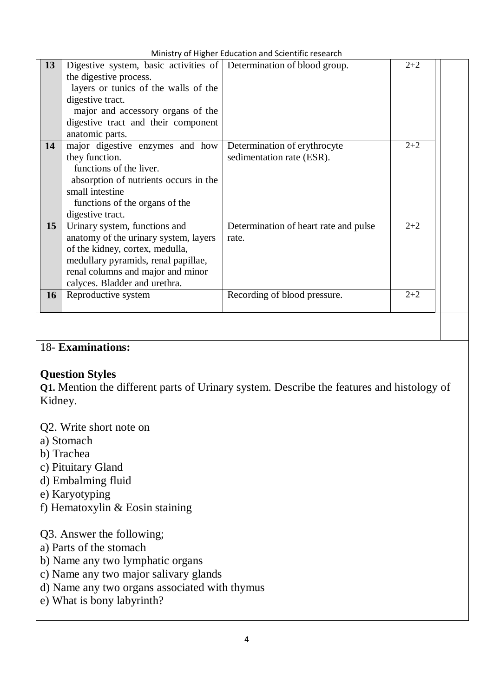| Ministry of Higher Education and Scientific research |  |
|------------------------------------------------------|--|
|------------------------------------------------------|--|

|    |                                                                     | <b>TVILLING Y OF LIGHTED EQUEDITION OF SCIENTING I COCULTU</b> |         |  |
|----|---------------------------------------------------------------------|----------------------------------------------------------------|---------|--|
| 13 | Digestive system, basic activities of Determination of blood group. |                                                                | $2 + 2$ |  |
|    | the digestive process.                                              |                                                                |         |  |
|    | layers or tunics of the walls of the                                |                                                                |         |  |
|    | digestive tract.                                                    |                                                                |         |  |
|    | major and accessory organs of the                                   |                                                                |         |  |
|    | digestive tract and their component                                 |                                                                |         |  |
|    | anatomic parts.                                                     |                                                                |         |  |
| 14 | major digestive enzymes and how                                     | Determination of erythrocyte                                   | $2 + 2$ |  |
|    | they function.                                                      | sedimentation rate (ESR).                                      |         |  |
|    | functions of the liver.                                             |                                                                |         |  |
|    | absorption of nutrients occurs in the                               |                                                                |         |  |
|    | small intestine                                                     |                                                                |         |  |
|    | functions of the organs of the                                      |                                                                |         |  |
|    | digestive tract.                                                    |                                                                |         |  |
| 15 | Urinary system, functions and                                       | Determination of heart rate and pulse                          | $2 + 2$ |  |
|    | anatomy of the urinary system, layers                               | rate.                                                          |         |  |
|    | of the kidney, cortex, medulla,                                     |                                                                |         |  |
|    | medullary pyramids, renal papillae,                                 |                                                                |         |  |
|    | renal columns and major and minor                                   |                                                                |         |  |
|    | calyces. Bladder and urethra.                                       |                                                                |         |  |
| 16 | Reproductive system                                                 | Recording of blood pressure.                                   | $2 + 2$ |  |
|    |                                                                     |                                                                |         |  |
|    |                                                                     |                                                                |         |  |

### 18- **Examinations:**

#### **Question Styles**

**Q1.** Mention the different parts of Urinary system. Describe the features and histology of Kidney.

- Q2. Write short note on
- a) Stomach
- b) Trachea
- c) Pituitary Gland
- d) Embalming fluid
- e) Karyotyping
- f) Hematoxylin & Eosin staining

#### Q3. Answer the following;

- a) Parts of the stomach
- b) Name any two lymphatic organs
- c) Name any two major salivary glands
- d) Name any two organs associated with thymus
- e) What is bony labyrinth?